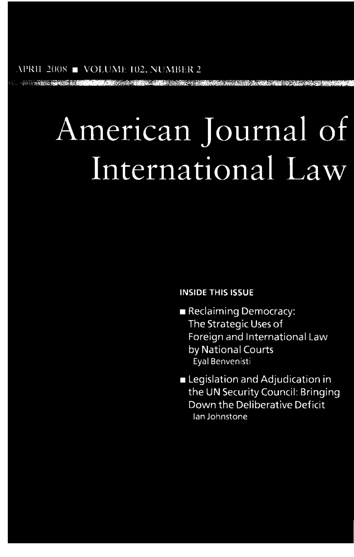# American Journal of International Law

### **INSIDE THIS ISSUE**

- Reclaiming Democracy: The Strategic Uses of Foreign and International Law by National Courts Eyal Benvenisti
- Legislation and Adjudication in the UN Security Council: Bringing Down the Deliberative Deficit lan Johnstone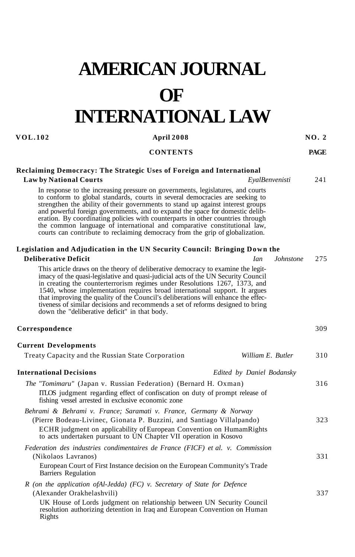# **AMERICAN JOURNAL OF INTERNATIONAL LAW**

#### **VOL.102** April 2008 NO. 2

#### **CONTENTS PAGE**

#### **Reclaiming Democracy: The Strategic Uses of Foreign and International**

#### **Law by National Courts** *EyalBenvenisti* 241

In response to the increasing pressure on governments, legislatures, and courts to conform to global standards, courts in several democracies are seeking to strengthen the ability of their governments to stand up against interest groups and powerful foreign governments, and to expand the space for domestic deliberation. By coordinating policies with counterparts in other countries through the common language of international and comparative constitutional law, courts can contribute to reclaiming democracy from the grip of globalization.

#### **Legislation and Adjudication in the UN Security Council: Bringing Down the**

| <b>Deliberative Deficit</b>                                                                                                                                                                                                                                                                                                                                                                                                                                                                                                                                | <i>Ian</i>                | Johnstone | 275 |
|------------------------------------------------------------------------------------------------------------------------------------------------------------------------------------------------------------------------------------------------------------------------------------------------------------------------------------------------------------------------------------------------------------------------------------------------------------------------------------------------------------------------------------------------------------|---------------------------|-----------|-----|
| This article draws on the theory of deliberative democracy to examine the legit-<br>imacy of the quasi-legislative and quasi-judicial acts of the UN Security Council<br>in creating the counterterrorism regimes under Resolutions 1267, 1373, and<br>1540, whose implementation requires broad international support. It argues<br>that improving the quality of the Council's deliberations will enhance the effec-<br>tiveness of similar decisions and recommends a set of reforms designed to bring<br>down the "deliberative deficit" in that body. |                           |           |     |
| Correspondence                                                                                                                                                                                                                                                                                                                                                                                                                                                                                                                                             |                           |           | 309 |
| <b>Current Developments</b>                                                                                                                                                                                                                                                                                                                                                                                                                                                                                                                                |                           |           |     |
| Treaty Capacity and the Russian State Corporation                                                                                                                                                                                                                                                                                                                                                                                                                                                                                                          | William E. Butler         |           | 310 |
| <b>International Decisions</b>                                                                                                                                                                                                                                                                                                                                                                                                                                                                                                                             | Edited by Daniel Bodansky |           |     |
| <i>The "Tomimaru"</i> (Japan v. Russian Federation) (Bernard H. Oxman)<br><b>ITLOS</b> judgment regarding effect of confiscation on duty of prompt release of<br>fishing vessel arrested in exclusive economic zone                                                                                                                                                                                                                                                                                                                                        |                           |           | 316 |
| Behrami & Behrami v. France; Saramati v. France, Germany & Norway<br>(Pierre Bodeau-Livinec, Gionata P. Buzzini, and Santiago Villalpando)<br>ECHR judgment on applicability of European Convention on HumamRights<br>to acts undertaken pursuant to UN Chapter VII operation in Kosovo                                                                                                                                                                                                                                                                    |                           |           | 323 |
| Federation des industries condimentaires de France (FICF) et al. v. Commission<br>(Nikolaos Lavranos)<br>European Court of First Instance decision on the European Community's Trade<br>Barriers Regulation                                                                                                                                                                                                                                                                                                                                                |                           |           | 331 |
| $R$ (on the application of Al-Jedda) (FC) v. Secretary of State for Defence<br>(Alexander Orakhelashvili)<br>UK House of Lords judgment on relationship between UN Security Council<br>resolution authorizing detention in Iraq and European Convention on Human<br>Rights                                                                                                                                                                                                                                                                                 |                           |           | 337 |